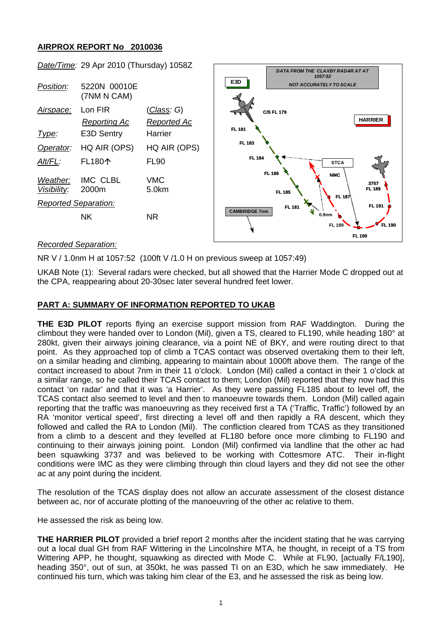# **AIRPROX REPORT No 2010036**

|                             | $\frac{3000}{1000}$ . Lo $\frac{1}{2}$ . Lo $\frac{1}{2}$ . The following the set of $\frac{1}{2}$ |                                          |                      | DATA FROM THE CLAXBY RADAR AT AT<br>1057:52                  |
|-----------------------------|----------------------------------------------------------------------------------------------------|------------------------------------------|----------------------|--------------------------------------------------------------|
| Position:                   | 5220N 00010E<br>(7NM N CAM)                                                                        |                                          | E3D                  | <b>NOT ACCURATELY TO SCALE</b>                               |
| Airspace:                   | Lon FIR<br><b>Reporting Ac</b>                                                                     | <u>(Class</u> : G)<br><b>Reported Ac</b> |                      | <b>C/S FL 179</b><br><b>HARRIER</b>                          |
| Type:                       | E3D Sentry                                                                                         | Harrier                                  | <b>FL 181</b>        |                                                              |
| Operator:                   | HQ AIR (OPS)                                                                                       | HQ AIR (OPS)                             | FL 183               |                                                              |
| Alt/FL:                     | FL180个                                                                                             | <b>FL90</b>                              | <b>FL 184</b>        | ,,,,,,,,,,,,,,,,,,,,,,,,,,,,<br><b>STCA</b><br><b>FL 186</b> |
| Weather:<br>Visibility:     | IMC CLBL<br>2000m                                                                                  | <b>VMC</b><br>5.0km                      |                      | <b>NMC</b><br>3757<br><b>FL 189</b><br>FL 185<br>FL 187.     |
| <b>Reported Separation:</b> |                                                                                                    |                                          | <b>CAMBRIDGE 7nm</b> | FL 191<br><b>FL 181</b>                                      |
|                             | <b>NK</b>                                                                                          | <b>NR</b>                                |                      | 0.9 <sub>nm</sub><br>FL 189<br><b>FL 190</b>                 |
|                             |                                                                                                    |                                          |                      | <b>FL 190</b>                                                |

*Date/Time:* 29 Apr 2010 (Thursday) 1058Z

### *Recorded Separation:*

NR V / 1.0nm H at 1057:52 (100ft V /1.0 H on previous sweep at 1057:49)

UKAB Note (1): Several radars were checked, but all showed that the Harrier Mode C dropped out at the CPA, reappearing about 20-30sec later several hundred feet lower.

### **PART A: SUMMARY OF INFORMATION REPORTED TO UKAB**

**THE E3D PILOT** reports flying an exercise support mission from RAF Waddington. During the climbout they were handed over to London (Mil), given a TS, cleared to FL190, while heading 180° at 280kt, given their airways joining clearance, via a point NE of BKY, and were routing direct to that point. As they approached top of climb a TCAS contact was observed overtaking them to their left, on a similar heading and climbing, appearing to maintain about 1000ft above them. The range of the contact increased to about 7nm in their 11 o'clock. London (Mil) called a contact in their 1 o'clock at a similar range, so he called their TCAS contact to them; London (Mil) reported that they now had this contact 'on radar' and that it was 'a Harrier'. As they were passing FL185 about to level off, the TCAS contact also seemed to level and then to manoeuvre towards them. London (Mil) called again reporting that the traffic was manoeuvring as they received first a TA ('Traffic, Traffic') followed by an RA 'monitor vertical speed', first directing a level off and then rapidly a RA descent, which they followed and called the RA to London (Mil). The confliction cleared from TCAS as they transitioned from a climb to a descent and they levelled at FL180 before once more climbing to FL190 and continuing to their airways joining point. London (Mil) confirmed via landline that the other ac had been squawking 3737 and was believed to be working with Cottesmore ATC. Their in-flight conditions were IMC as they were climbing through thin cloud layers and they did not see the other ac at any point during the incident.

The resolution of the TCAS display does not allow an accurate assessment of the closest distance between ac, nor of accurate plotting of the manoeuvring of the other ac relative to them.

He assessed the risk as being low.

**THE HARRIER PILOT** provided a brief report 2 months after the incident stating that he was carrying out a local dual GH from RAF Wittering in the Lincolnshire MTA, he thought, in receipt of a TS from Wittering APP, he thought, squawking as directed with Mode C. While at FL90, [actually F/L190]. heading 350°, out of sun, at 350kt, he was passed TI on an E3D, which he saw immediately. He continued his turn, which was taking him clear of the E3, and he assessed the risk as being low.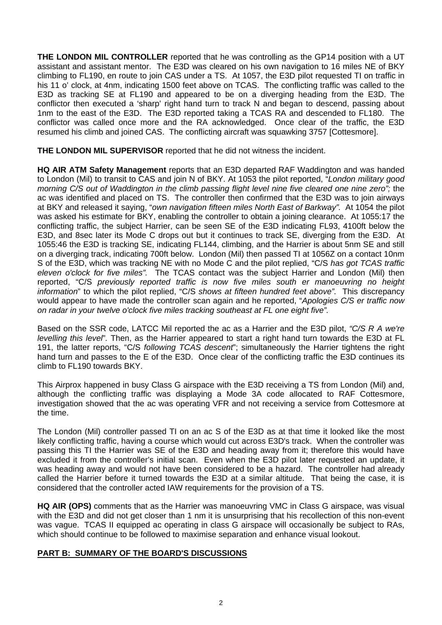**THE LONDON MIL CONTROLLER** reported that he was controlling as the GP14 position with a UT assistant and assistant mentor. The E3D was cleared on his own navigation to 16 miles NE of BKY climbing to FL190, en route to join CAS under a TS. At 1057, the E3D pilot requested TI on traffic in his 11 o' clock, at 4nm, indicating 1500 feet above on TCAS. The conflicting traffic was called to the E3D as tracking SE at FL190 and appeared to be on a diverging heading from the E3D. The conflictor then executed a 'sharp' right hand turn to track N and began to descend, passing about 1nm to the east of the E3D. The E3D reported taking a TCAS RA and descended to FL180. The conflictor was called once more and the RA acknowledged. Once clear of the traffic, the E3D resumed his climb and joined CAS. The conflicting aircraft was squawking 3757 [Cottesmore].

**THE LONDON MIL SUPERVISOR** reported that he did not witness the incident.

**HQ AIR ATM Safety Management** reports that an E3D departed RAF Waddington and was handed to London (Mil) to transit to CAS and join N of BKY. At 1053 the pilot reported, "*London military good morning C/S out of Waddington in the climb passing flight level nine five cleared one nine zero";* the ac was identified and placed on TS. The controller then confirmed that the E3D was to join airways at BKY and released it saying, "*own navigation fifteen miles North East of Barkway".* At 1054 the pilot was asked his estimate for BKY, enabling the controller to obtain a joining clearance. At 1055:17 the conflicting traffic, the subject Harrier, can be seen SE of the E3D indicating FL93, 4100ft below the E3D, and 8sec later its Mode C drops out but it continues to track SE, diverging from the E3D. At 1055:46 the E3D is tracking SE, indicating FL144, climbing, and the Harrier is about 5nm SE and still on a diverging track, indicating 700ft below. London (Mil) then passed TI at 1056Z on a contact 10nm S of the E3D, which was tracking NE with no Mode C and the pilot replied, "C/S *has got TCAS traffic eleven o'clock for five miles".* The TCAS contact was the subject Harrier and London (Mil) then reported, "C/S *previously reported traffic is now five miles south er manoeuvring no height information*" to which the pilot replied, "C/S *shows at fifteen hundred feet above".* This discrepancy would appear to have made the controller scan again and he reported, "*Apologies C/S er traffic now on radar in your twelve o'clock five miles tracking southeast at FL one eight five".* 

Based on the SSR code, LATCC Mil reported the ac as a Harrier and the E3D pilot, *"C/S R A we're levelling this level*"*.* Then, as the Harrier appeared to start a right hand turn towards the E3D at FL 191, the latter reports, "C/S *following TCAS descent*"; simultaneously the Harrier tightens the right hand turn and passes to the E of the E3D. Once clear of the conflicting traffic the E3D continues its climb to FL190 towards BKY.

This Airprox happened in busy Class G airspace with the E3D receiving a TS from London (Mil) and, although the conflicting traffic was displaying a Mode 3A code allocated to RAF Cottesmore, investigation showed that the ac was operating VFR and not receiving a service from Cottesmore at the time.

The London (Mil) controller passed TI on an ac S of the E3D as at that time it looked like the most likely conflicting traffic, having a course which would cut across E3D's track. When the controller was passing this TI the Harrier was SE of the E3D and heading away from it; therefore this would have excluded it from the controller's initial scan. Even when the E3D pilot later requested an update, it was heading away and would not have been considered to be a hazard. The controller had already called the Harrier before it turned towards the E3D at a similar altitude. That being the case, it is considered that the controller acted IAW requirements for the provision of a TS.

**HQ AIR (OPS)** comments that as the Harrier was manoeuvring VMC in Class G airspace, was visual with the E3D and did not get closer than 1 nm it is unsurprising that his recollection of this non-event was vague. TCAS II equipped ac operating in class G airspace will occasionally be subject to RAs, which should continue to be followed to maximise separation and enhance visual lookout.

## **PART B: SUMMARY OF THE BOARD'S DISCUSSIONS**